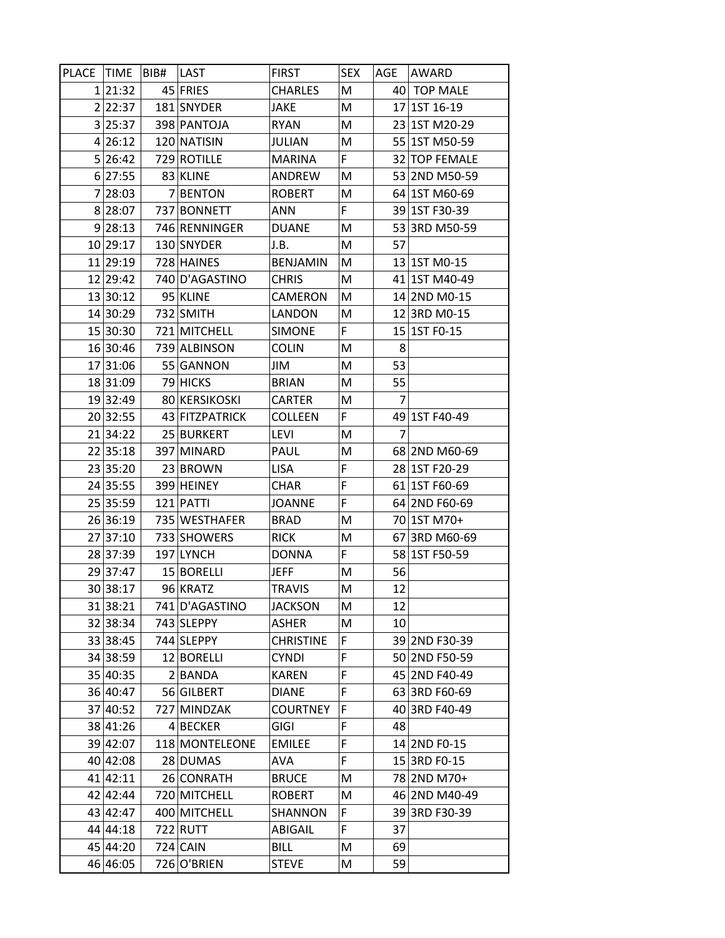| PLACE TIME |          | BIB# | LAST           | <b>FIRST</b>     | <b>SEX</b> | AGE | AWARD         |
|------------|----------|------|----------------|------------------|------------|-----|---------------|
|            | 1 21:32  |      | 45 FRIES       | <b>CHARLES</b>   | M          |     | 40 TOP MALE   |
|            | 2 22:37  |      | 181 SNYDER     | JAKE             | M          |     | 17 1ST 16-19  |
|            | 3 25:37  |      | 398 PANTOJA    | <b>RYAN</b>      | M          |     | 23 1ST M20-29 |
|            | 4 26:12  |      | 120 NATISIN    | JULIAN           | M          |     | 55 1ST M50-59 |
|            | 5 26:42  |      | 729 ROTILLE    | <b>MARINA</b>    | F.         |     | 32 TOP FEMALE |
|            | 6 27:55  |      | 83 KLINE       | ANDREW           | M          |     | 53 2ND M50-59 |
|            | 7 28:03  |      | 7 BENTON       | <b>ROBERT</b>    | M          |     | 64 1ST M60-69 |
|            | 8 28:07  |      | 737 BONNETT    | <b>ANN</b>       | F          |     | 39 1ST F30-39 |
|            | 9 28:13  |      | 746 RENNINGER  | <b>DUANE</b>     | M          |     | 53 3RD M50-59 |
|            | 10 29:17 |      | 130 SNYDER     | J.B.             | M          | 57  |               |
|            | 11 29:19 |      | 728 HAINES     | <b>BENJAMIN</b>  | M          |     | 13 1ST M0-15  |
|            | 12 29:42 |      | 740 D'AGASTINO | <b>CHRIS</b>     | M          |     | 41 1ST M40-49 |
|            | 13 30:12 |      | 95 KLINE       | CAMERON          | M          |     | 14 2ND M0-15  |
|            | 14 30:29 |      | 732 SMITH      | LANDON           | M          |     | 12 3RD M0-15  |
|            | 15 30:30 |      | 721 MITCHELL   | <b>SIMONE</b>    | F.         |     | 15 1ST F0-15  |
|            | 16 30:46 |      | 739 ALBINSON   | <b>COLIN</b>     | M          | 8   |               |
|            | 17 31:06 |      | 55 GANNON      | JIM              | M          | 53  |               |
|            | 18 31:09 |      | 79 HICKS       | <b>BRIAN</b>     | M          | 55  |               |
|            | 19 32:49 |      | 80 KERSIKOSKI  | <b>CARTER</b>    | M          | 7   |               |
|            | 20 32:55 |      | 43 FITZPATRICK | <b>COLLEEN</b>   | F.         |     | 49 1ST F40-49 |
|            | 21 34:22 |      | 25 BURKERT     | LEVI             | M          | 7   |               |
|            | 22 35:18 |      | 397 MINARD     | PAUL             | M          |     | 68 2ND M60-69 |
|            | 23 35:20 |      | 23 BROWN       | <b>LISA</b>      | F          |     | 28 1ST F20-29 |
|            | 24 35:55 |      | 399 HEINEY     | <b>CHAR</b>      | F          |     | 61 1ST F60-69 |
|            | 25 35:59 |      | 121 PATTI      | <b>JOANNE</b>    | F          |     | 64 2ND F60-69 |
|            | 26 36:19 |      | 735 WESTHAFER  | <b>BRAD</b>      | M          |     | 70 1ST M70+   |
|            | 27 37:10 |      | 733 SHOWERS    | <b>RICK</b>      | M          |     | 67 3RD M60-69 |
|            | 28 37:39 |      | 197 LYNCH      | <b>DONNA</b>     | F.         |     | 58 1ST F50-59 |
|            | 29 37:47 |      | 15 BORELLI     | <b>JEFF</b>      | M          | 56  |               |
|            | 30 38:17 |      | 96 KRATZ       | <b>TRAVIS</b>    | M          | 12  |               |
|            | 31 38:21 |      | 741 D'AGASTINO | <b>JACKSON</b>   | M          | 12  |               |
|            | 32 38:34 |      | 743 SLEPPY     | ASHER            | M          | 10  |               |
|            | 33 38:45 |      | 744 SLEPPY     | <b>CHRISTINE</b> | F          |     | 39 2ND F30-39 |
|            | 34 38:59 |      | 12 BORELLI     | <b>CYNDI</b>     | F          |     | 50 2ND F50-59 |
|            | 35 40:35 |      | 2 BANDA        | <b>KAREN</b>     | F          | 45  | 2ND F40-49    |
|            | 36 40:47 |      | 56 GILBERT     | <b>DIANE</b>     | F          |     | 63 3RD F60-69 |
|            | 37 40:52 |      | 727 MINDZAK    | <b>COURTNEY</b>  | F          |     | 40 3RD F40-49 |
|            | 38 41:26 |      | 4 BECKER       | GIGI             | F          | 48  |               |
|            | 39 42:07 |      | 118 MONTELEONE | <b>EMILEE</b>    | F          |     | 14 2ND F0-15  |
|            | 40 42:08 |      | 28 DUMAS       | AVA              | F          |     | 15 3RD F0-15  |
|            | 41 42:11 |      | 26 CONRATH     | <b>BRUCE</b>     | M          |     | 78 2ND M70+   |
|            | 42 42:44 |      | 720 MITCHELL   | <b>ROBERT</b>    | M          |     | 46 2ND M40-49 |
|            | 43 42:47 |      | 400 MITCHELL   | SHANNON          | F          |     | 39 3RD F30-39 |
|            | 44 44:18 |      | 722 RUTT       | ABIGAIL          | F          | 37  |               |
|            | 45 44:20 |      | 724 CAIN       | <b>BILL</b>      | M          | 69  |               |
|            | 46 46:05 |      | 726 O'BRIEN    | <b>STEVE</b>     | M          | 59  |               |